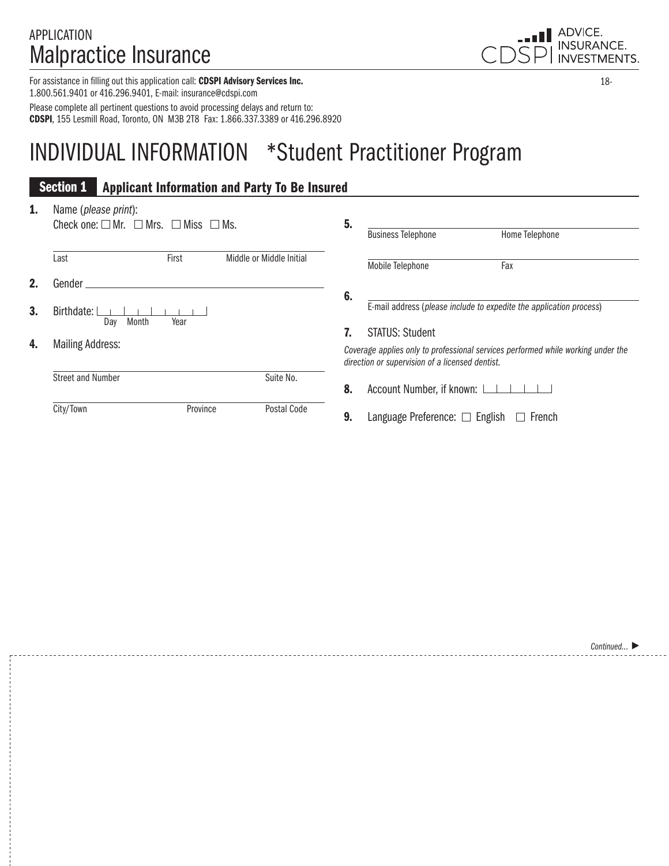### APPLICATION Malpractice Insurance

For assistance in filling out this application call: CDSPI Advisory Services Inc. 1.800.561.9401 or 416.296.9401, E-mail: insurance@cdspi.com Please complete all pertinent questions to avoid processing delays and return to: CDSPI, 155 Lesmill Road, Toronto, ON M3B 2T8 Fax: 1.866.337.3389 or 416.296.8920

# INDIVIDUAL INFORMATION \*Student Practitioner Program

|    | <b>Section 1</b>                                                                             |          | <b>Applicant Information and Party To Be Insured</b> |    |                                                 |                                                                                  |
|----|----------------------------------------------------------------------------------------------|----------|------------------------------------------------------|----|-------------------------------------------------|----------------------------------------------------------------------------------|
| 1. | Name (please print):<br>Check one: $\square$ Mr. $\square$ Mrs. $\square$ Miss $\square$ Ms. |          |                                                      | 5. |                                                 |                                                                                  |
|    |                                                                                              |          |                                                      |    | <b>Business Telephone</b>                       | Home Telephone                                                                   |
|    | Last                                                                                         | First    | Middle or Middle Initial                             |    | Mobile Telephone                                | Fax                                                                              |
| 2. | Gender.                                                                                      |          |                                                      |    |                                                 |                                                                                  |
| 3. | Birthdate:<br>Month<br>Day                                                                   | Year     |                                                      | 6. | <b>STATUS: Student</b>                          | E-mail address (please include to expedite the application process)              |
| 4. | <b>Mailing Address:</b>                                                                      |          |                                                      |    | direction or supervision of a licensed dentist. | Coverage applies only to professional services performed while working under the |
|    | <b>Street and Number</b>                                                                     |          | Suite No.                                            | 8. | Account Number, if known:                       |                                                                                  |
|    | City/Town                                                                                    | Province | Postal Code                                          | 9. | Language Preference: $\Box$ English             | French                                                                           |



18-

*Continued...*